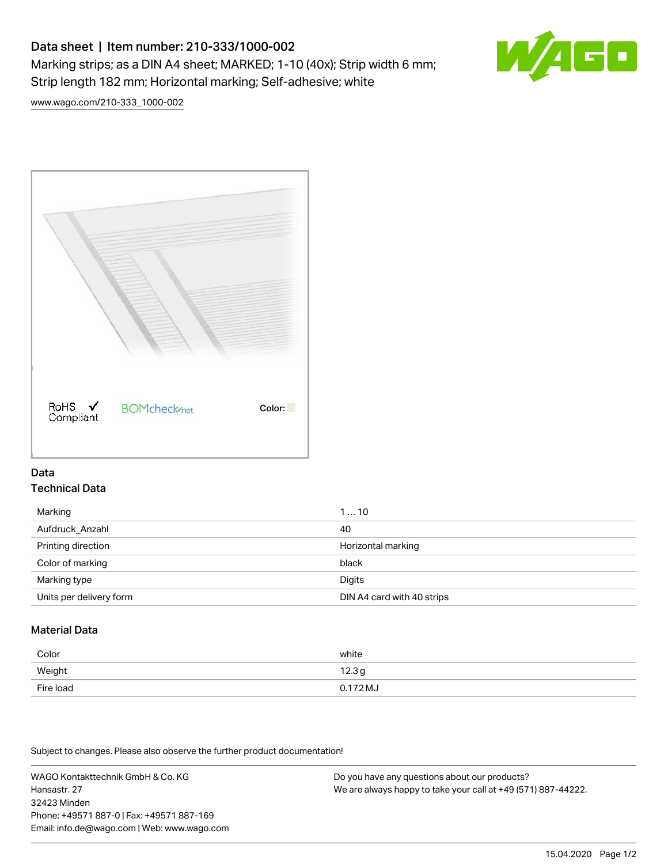# Data sheet | Item number: 210-333/1000-002 Marking strips; as a DIN A4 sheet; MARKED; 1-10 (40x); Strip width 6 mm; Strip length 182 mm; Horizontal marking; Self-adhesive; white



[www.wago.com/210-333\\_1000-002](http://www.wago.com/210-333_1000-002)



## Data Technical Data

| Marking                 | 110                        |
|-------------------------|----------------------------|
| Aufdruck Anzahl         | 40                         |
| Printing direction      | Horizontal marking         |
| Color of marking        | black                      |
| Marking type            | Digits                     |
| Units per delivery form | DIN A4 card with 40 strips |

# Material Data

| Color     | white             |
|-----------|-------------------|
| Weight    | 12.3 <sub>g</sub> |
| Fire load | $0.172 M_J$       |

Subject to changes. Please also observe the further product documentation!

WAGO Kontakttechnik GmbH & Co. KG Hansastr. 27 32423 Minden Phone: +49571 887-0 | Fax: +49571 887-169 Email: info.de@wago.com | Web: www.wago.com Do you have any questions about our products? We are always happy to take your call at +49 (571) 887-44222.